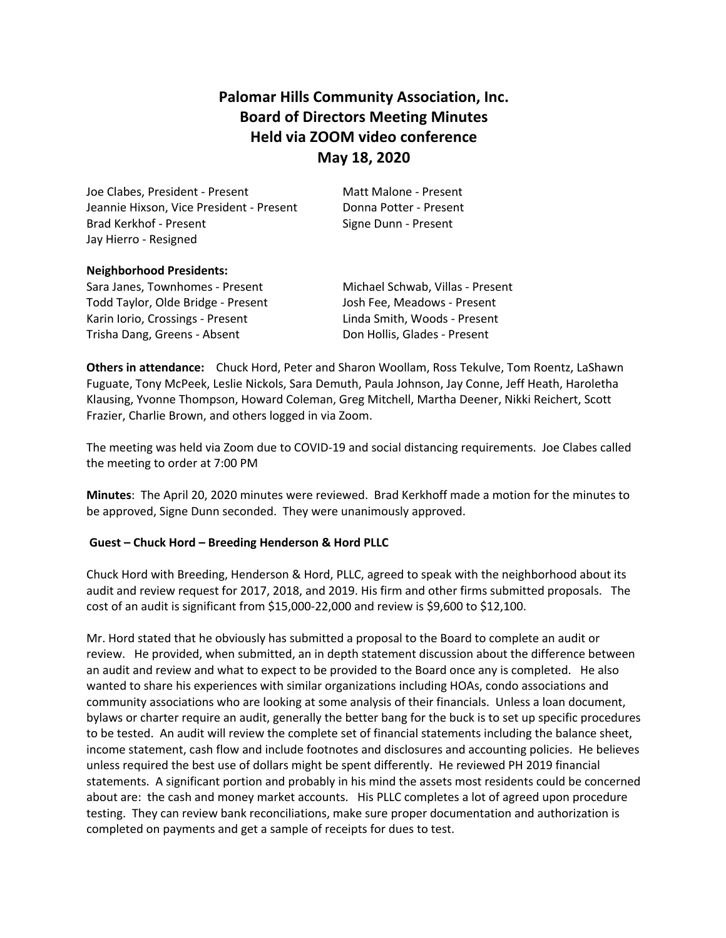# **Palomar Hills Community Association, Inc. Board of Directors Meeting Minutes Held via ZOOM video conference May 18, 2020**

Joe Clabes, President - Present Matt Malone - Present Jeannie Hixson, Vice President - Present Donna Potter - Present Brad Kerkhof - Present Signe Dunn - Present Jay Hierro - Resigned

# **Neighborhood Presidents:**

Sara Janes, Townhomes - Present Michael Schwab, Villas - Present Todd Taylor, Olde Bridge - Present Josh Fee, Meadows - Present Karin Iorio, Crossings - Present Linda Smith, Woods - Present Trisha Dang, Greens - Absent Don Hollis, Glades - Present

**Others in attendance:** Chuck Hord, Peter and Sharon Woollam, Ross Tekulve, Tom Roentz, LaShawn Fuguate, Tony McPeek, Leslie Nickols, Sara Demuth, Paula Johnson, Jay Conne, Jeff Heath, Haroletha Klausing, Yvonne Thompson, Howard Coleman, Greg Mitchell, Martha Deener, Nikki Reichert, Scott Frazier, Charlie Brown, and others logged in via Zoom.

The meeting was held via Zoom due to COVID-19 and social distancing requirements. Joe Clabes called the meeting to order at 7:00 PM

**Minutes**: The April 20, 2020 minutes were reviewed. Brad Kerkhoff made a motion for the minutes to be approved, Signe Dunn seconded. They were unanimously approved.

# **Guest – Chuck Hord – Breeding Henderson & Hord PLLC**

Chuck Hord with Breeding, Henderson & Hord, PLLC, agreed to speak with the neighborhood about its audit and review request for 2017, 2018, and 2019. His firm and other firms submitted proposals. The cost of an audit is significant from \$15,000-22,000 and review is \$9,600 to \$12,100.

Mr. Hord stated that he obviously has submitted a proposal to the Board to complete an audit or review. He provided, when submitted, an in depth statement discussion about the difference between an audit and review and what to expect to be provided to the Board once any is completed. He also wanted to share his experiences with similar organizations including HOAs, condo associations and community associations who are looking at some analysis of their financials. Unless a loan document, bylaws or charter require an audit, generally the better bang for the buck is to set up specific procedures to be tested. An audit will review the complete set of financial statements including the balance sheet, income statement, cash flow and include footnotes and disclosures and accounting policies. He believes unless required the best use of dollars might be spent differently. He reviewed PH 2019 financial statements. A significant portion and probably in his mind the assets most residents could be concerned about are: the cash and money market accounts. His PLLC completes a lot of agreed upon procedure testing. They can review bank reconciliations, make sure proper documentation and authorization is completed on payments and get a sample of receipts for dues to test.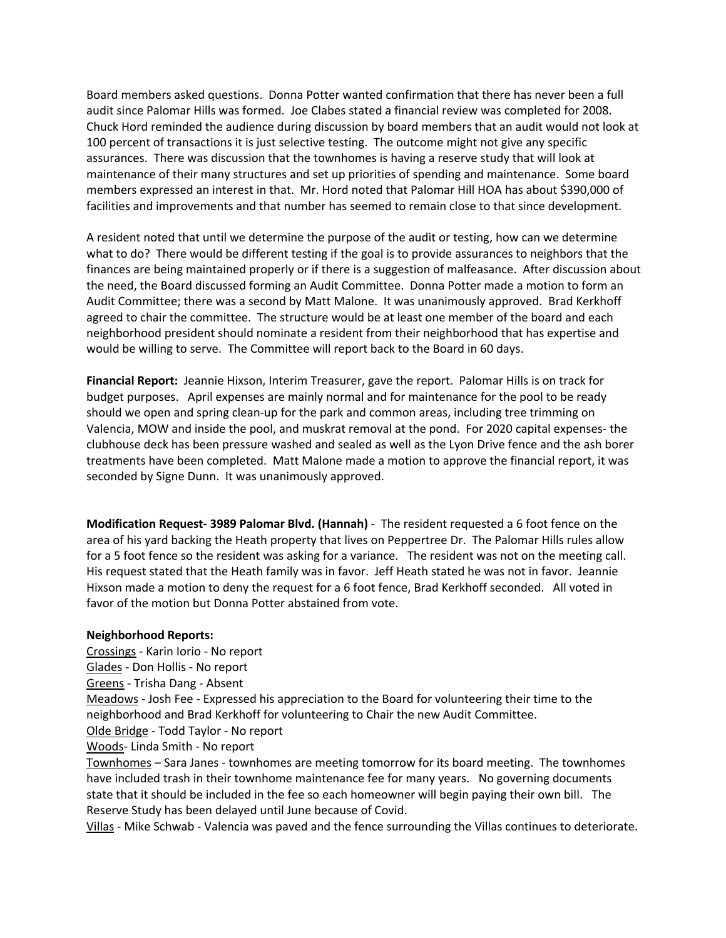Board members asked questions. Donna Potter wanted confirmation that there has never been a full audit since Palomar Hills was formed. Joe Clabes stated a financial review was completed for 2008. Chuck Hord reminded the audience during discussion by board members that an audit would not look at 100 percent of transactions it is just selective testing. The outcome might not give any specific assurances. There was discussion that the townhomes is having a reserve study that will look at maintenance of their many structures and set up priorities of spending and maintenance. Some board members expressed an interest in that. Mr. Hord noted that Palomar Hill HOA has about \$390,000 of facilities and improvements and that number has seemed to remain close to that since development.

A resident noted that until we determine the purpose of the audit or testing, how can we determine what to do? There would be different testing if the goal is to provide assurances to neighbors that the finances are being maintained properly or if there is a suggestion of malfeasance. After discussion about the need, the Board discussed forming an Audit Committee. Donna Potter made a motion to form an Audit Committee; there was a second by Matt Malone. It was unanimously approved. Brad Kerkhoff agreed to chair the committee. The structure would be at least one member of the board and each neighborhood president should nominate a resident from their neighborhood that has expertise and would be willing to serve. The Committee will report back to the Board in 60 days.

**Financial Report:** Jeannie Hixson, Interim Treasurer, gave the report. Palomar Hills is on track for budget purposes. April expenses are mainly normal and for maintenance for the pool to be ready should we open and spring clean-up for the park and common areas, including tree trimming on Valencia, MOW and inside the pool, and muskrat removal at the pond. For 2020 capital expenses- the clubhouse deck has been pressure washed and sealed as well as the Lyon Drive fence and the ash borer treatments have been completed. Matt Malone made a motion to approve the financial report, it was seconded by Signe Dunn. It was unanimously approved.

**Modification Request- 3989 Palomar Blvd. (Hannah)** - The resident requested a 6 foot fence on the area of his yard backing the Heath property that lives on Peppertree Dr. The Palomar Hills rules allow for a 5 foot fence so the resident was asking for a variance. The resident was not on the meeting call. His request stated that the Heath family was in favor. Jeff Heath stated he was not in favor. Jeannie Hixson made a motion to deny the request for a 6 foot fence, Brad Kerkhoff seconded. All voted in favor of the motion but Donna Potter abstained from vote.

### **Neighborhood Reports:**

Crossings - Karin Iorio - No report

Glades - Don Hollis - No report

Greens - Trisha Dang - Absent

Meadows - Josh Fee - Expressed his appreciation to the Board for volunteering their time to the neighborhood and Brad Kerkhoff for volunteering to Chair the new Audit Committee.

Olde Bridge - Todd Taylor - No report

Woods- Linda Smith - No report

Townhomes – Sara Janes - townhomes are meeting tomorrow for its board meeting. The townhomes have included trash in their townhome maintenance fee for many years. No governing documents state that it should be included in the fee so each homeowner will begin paying their own bill. The Reserve Study has been delayed until June because of Covid.

Villas - Mike Schwab - Valencia was paved and the fence surrounding the Villas continues to deteriorate.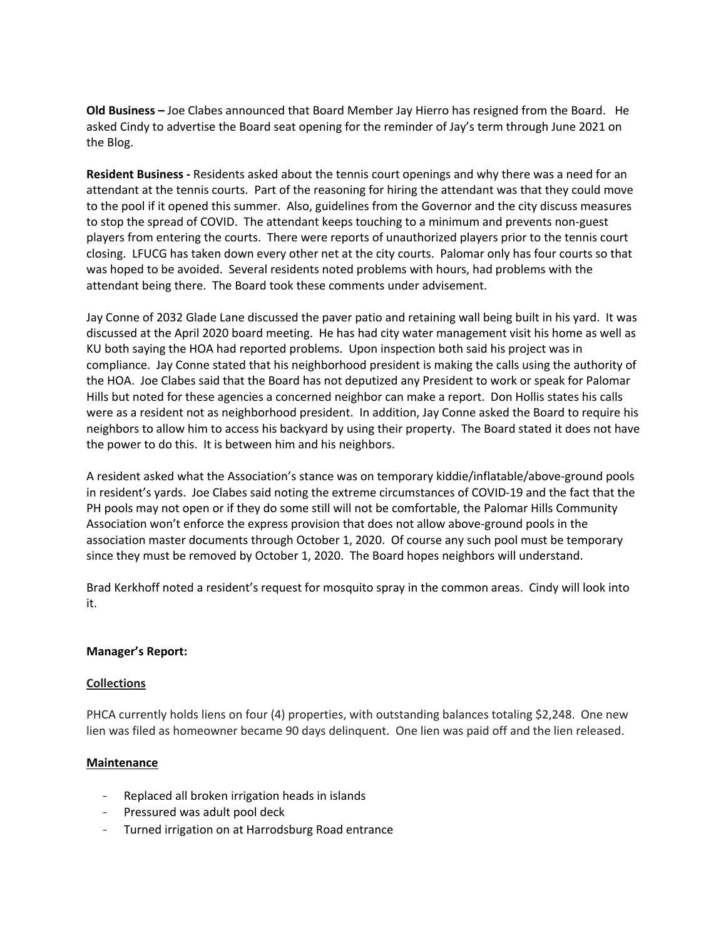**Old Business –** Joe Clabes announced that Board Member Jay Hierro has resigned from the Board. He asked Cindy to advertise the Board seat opening for the reminder of Jay's term through June 2021 on the Blog.

**Resident Business -** Residents asked about the tennis court openings and why there was a need for an attendant at the tennis courts. Part of the reasoning for hiring the attendant was that they could move to the pool if it opened this summer. Also, guidelines from the Governor and the city discuss measures to stop the spread of COVID. The attendant keeps touching to a minimum and prevents non-guest players from entering the courts. There were reports of unauthorized players prior to the tennis court closing. LFUCG has taken down every other net at the city courts. Palomar only has four courts so that was hoped to be avoided. Several residents noted problems with hours, had problems with the attendant being there. The Board took these comments under advisement.

Jay Conne of 2032 Glade Lane discussed the paver patio and retaining wall being built in his yard. It was discussed at the April 2020 board meeting. He has had city water management visit his home as well as KU both saying the HOA had reported problems. Upon inspection both said his project was in compliance. Jay Conne stated that his neighborhood president is making the calls using the authority of the HOA. Joe Clabes said that the Board has not deputized any President to work or speak for Palomar Hills but noted for these agencies a concerned neighbor can make a report. Don Hollis states his calls were as a resident not as neighborhood president. In addition, Jay Conne asked the Board to require his neighbors to allow him to access his backyard by using their property. The Board stated it does not have the power to do this. It is between him and his neighbors.

A resident asked what the Association's stance was on temporary kiddie/inflatable/above-ground pools in resident's yards. Joe Clabes said noting the extreme circumstances of COVID-19 and the fact that the PH pools may not open or if they do some still will not be comfortable, the Palomar Hills Community Association won't enforce the express provision that does not allow above-ground pools in the association master documents through October 1, 2020. Of course any such pool must be temporary since they must be removed by October 1, 2020. The Board hopes neighbors will understand.

Brad Kerkhoff noted a resident's request for mosquito spray in the common areas. Cindy will look into it.

### **Manager's Report:**

### **Collections**

PHCA currently holds liens on four (4) properties, with outstanding balances totaling \$2,248. One new lien was filed as homeowner became 90 days delinquent. One lien was paid off and the lien released.

### **Maintenance**

- Replaced all broken irrigation heads in islands
- Pressured was adult pool deck
- Turned irrigation on at Harrodsburg Road entrance